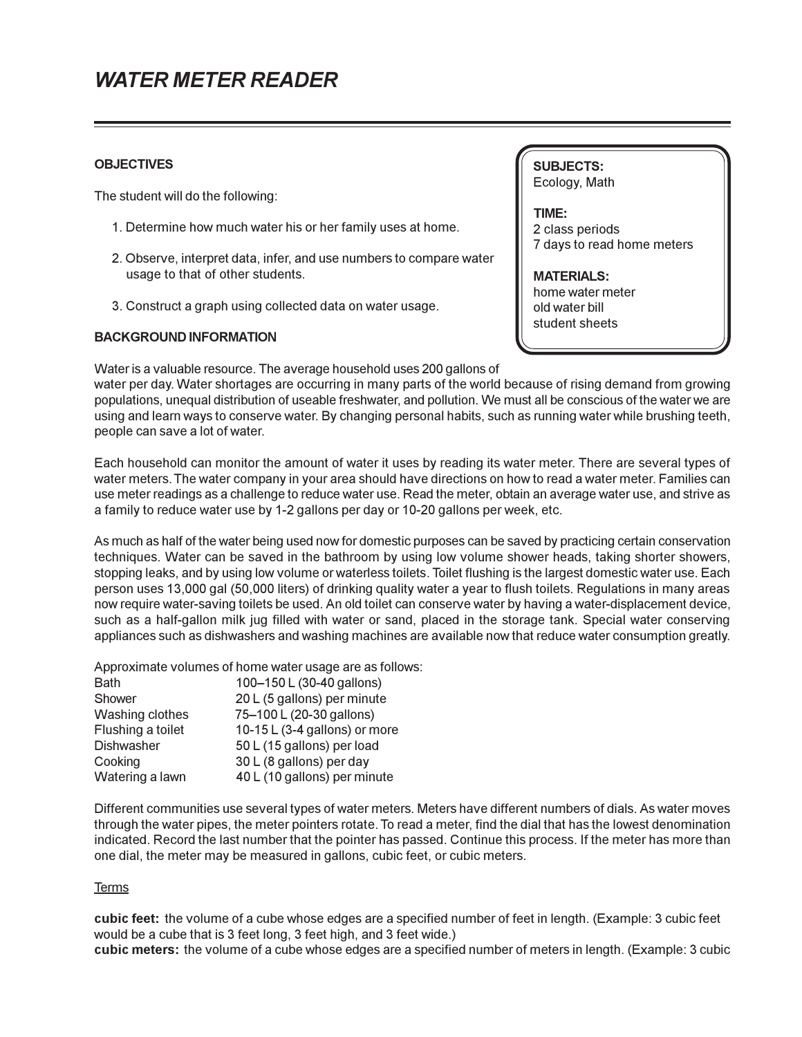## *WATER METER READER*

#### **OBJECTIVES**

The student will do the following:

- 1. Determine how much water his or her family uses at home.
- 2. Observe, interpret data, infer, and use numbers to compare water usage to that of other students.
- 3. Construct a graph using collected data on water usage.

### **BACKGROUND INFORMATION**

Water is a valuable resource. The average household uses 200 gallons of

water per day. Water shortages are occurring in many parts of the world because of rising demand from growing populations, unequal distribution of useable freshwater, and pollution. We must all be conscious of the water we are using and learn ways to conserve water. By changing personal habits, such as running water while brushing teeth, people can save a lot of water.

Each household can monitor the amount of water it uses by reading its water meter. There are several types of water meters. The water company in your area should have directions on how to read a water meter. Families can use meter readings as a challenge to reduce water use. Read the meter, obtain an average water use, and strive as a family to reduce water use by 1-2 gallons per day or 10-20 gallons per week, etc.

As much as half of the water being used now for domestic purposes can be saved by practicing certain conservation techniques. Water can be saved in the bathroom by using low volume shower heads, taking shorter showers, stopping leaks, and by using low volume or waterless toilets. Toilet flushing is the largest domestic water use. Each person uses 13,000 gal (50,000 liters) of drinking quality water a year to flush toilets. Regulations in many areas now require water-saving toilets be used. An old toilet can conserve water by having a water-displacement device, such as a half-gallon milk jug filled with water or sand, placed in the storage tank. Special water conserving appliances such as dishwashers and washing machines are available now that reduce water consumption greatly.

Approximate volumes of home water usage are as follows:

| <b>Bath</b>       | 100-150 L (30-40 gallons)       |
|-------------------|---------------------------------|
| Shower            | 20 L (5 gallons) per minute     |
| Washing clothes   | 75-100 L (20-30 gallons)        |
| Flushing a toilet | 10-15 L $(3-4$ gallons) or more |
| <b>Dishwasher</b> | 50 L (15 gallons) per load      |
| Cooking           | 30 L (8 gallons) per day        |
| Watering a lawn   | 40 L (10 gallons) per minute    |

Different communities use several types of water meters. Meters have different numbers of dials. As water moves through the water pipes, the meter pointers rotate. To read a meter, find the dial that has the lowest denomination indicated. Record the last number that the pointer has passed. Continue this process. If the meter has more than one dial, the meter may be measured in gallons, cubic feet, or cubic meters.

#### Terms

**cubic feet:** the volume of a cube whose edges are a specified number of feet in length. (Example: 3 cubic feet would be a cube that is 3 feet long, 3 feet high, and 3 feet wide.) **cubic meters:** the volume of a cube whose edges are a specified number of meters in length. (Example: 3 cubic

**SUBJECTS:** Ecology, Math

**TIME:** 2 class periods 7 days to read home meters

**MATERIALS:** home water meter old water bill student sheets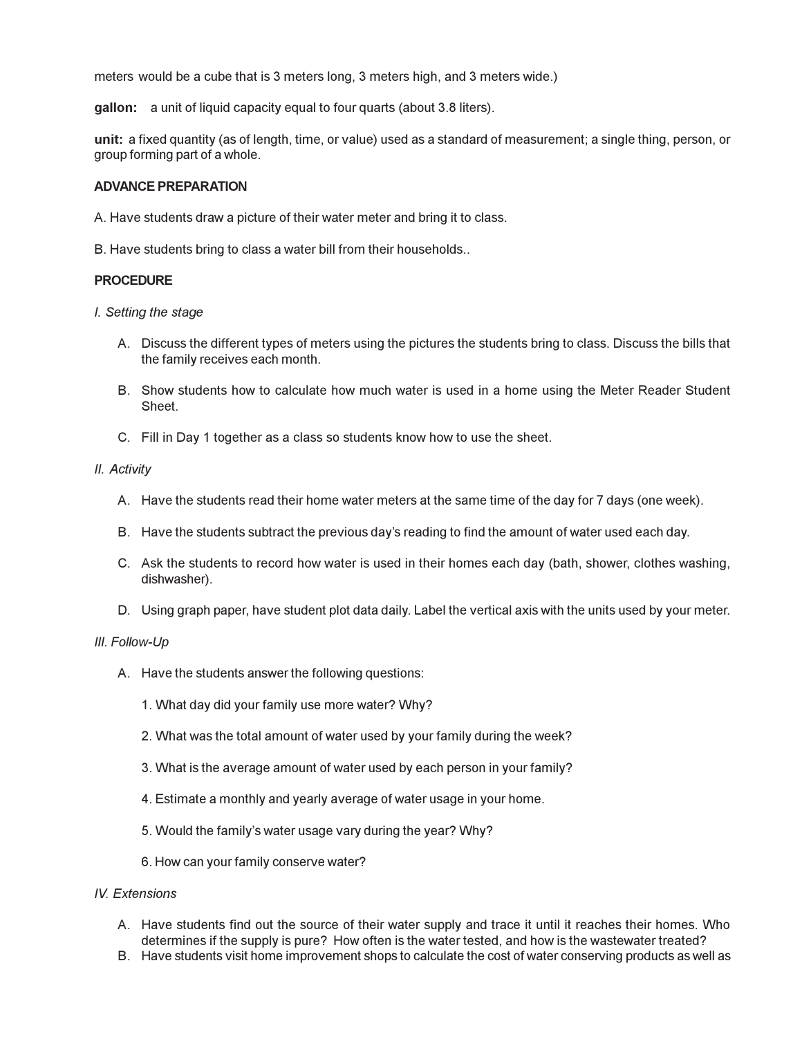meters would be a cube that is 3 meters long, 3 meters high, and 3 meters wide.)

**gallon:** a unit of liquid capacity equal to four quarts (about 3.8 liters).

**unit:** a fixed quantity (as of length, time, or value) used as a standard of measurement; a single thing, person, or group forming part of a whole.

#### **ADVANCE PREPARATION**

A. Have students draw a picture of their water meter and bring it to class.

B. Have students bring to class a water bill from their households..

#### **PROCEDURE**

*I. Setting the stage*

- A. Discuss the different types of meters using the pictures the students bring to class. Discuss the bills that the family receives each month.
- B. Show students how to calculate how much water is used in a home using the Meter Reader Student Sheet.
- C. Fill in Day 1 together as a class so students know how to use the sheet.

#### *II. Activity*

- A. Have the students read their home water meters at the same time of the day for 7 days (one week).
- B. Have the students subtract the previous day's reading to find the amount of water used each day.
- C. Ask the students to record how water is used in their homes each day (bath, shower, clothes washing, dishwasher).
- D. Using graph paper, have student plot data daily. Label the vertical axis with the units used by your meter.

#### *III. Follow-Up*

- A. Have the students answer the following questions:
	- 1. What day did your family use more water? Why?
	- 2. What was the total amount of water used by your family during the week?
	- 3. What is the average amount of water used by each person in your family?
	- 4. Estimate a monthly and yearly average of water usage in your home.
	- 5. Would the family's water usage vary during the year? Why?
	- 6. How can your family conserve water?

#### *IV. Extensions*

- A. Have students find out the source of their water supply and trace it until it reaches their homes. Who determines if the supply is pure? How often is the water tested, and how is the wastewater treated?
- B. Have students visit home improvement shops to calculate the cost of water conserving products as well as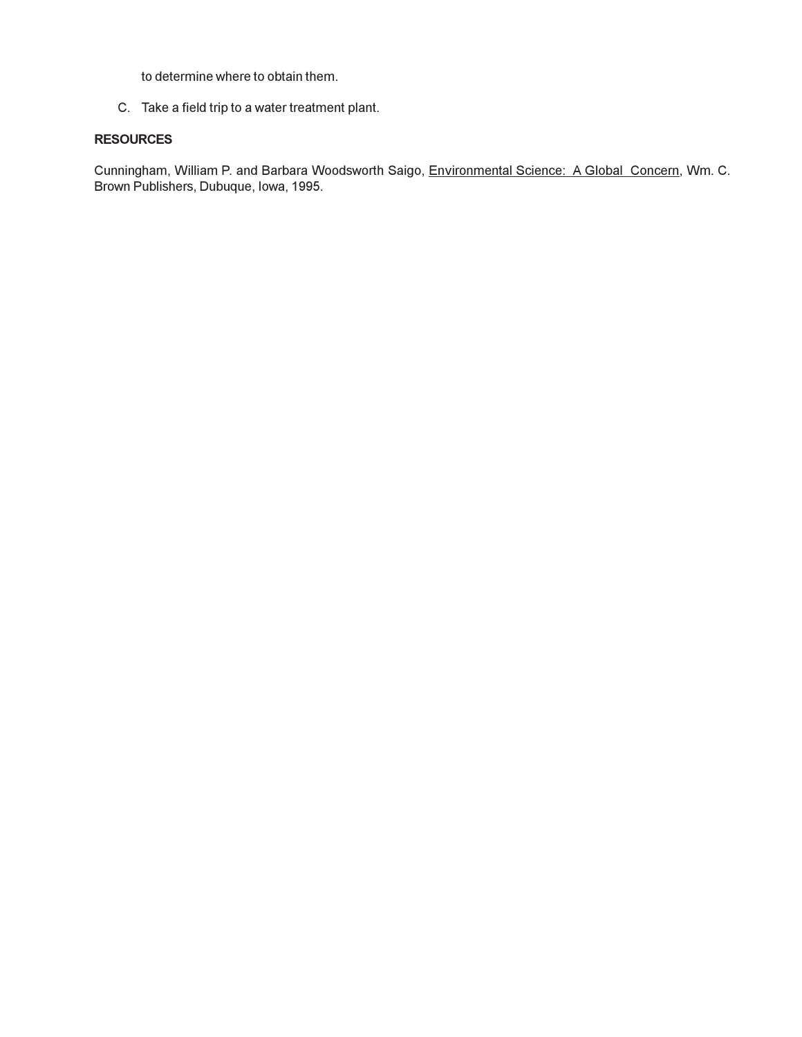to determine where to obtain them.

C. Take a field trip to a water treatment plant.

### **RESOURCES**

Cunningham, William P. and Barbara Woodsworth Saigo, Environmental Science: A Global Concern, Wm. C. Brown Publishers, Dubuque, Iowa, 1995.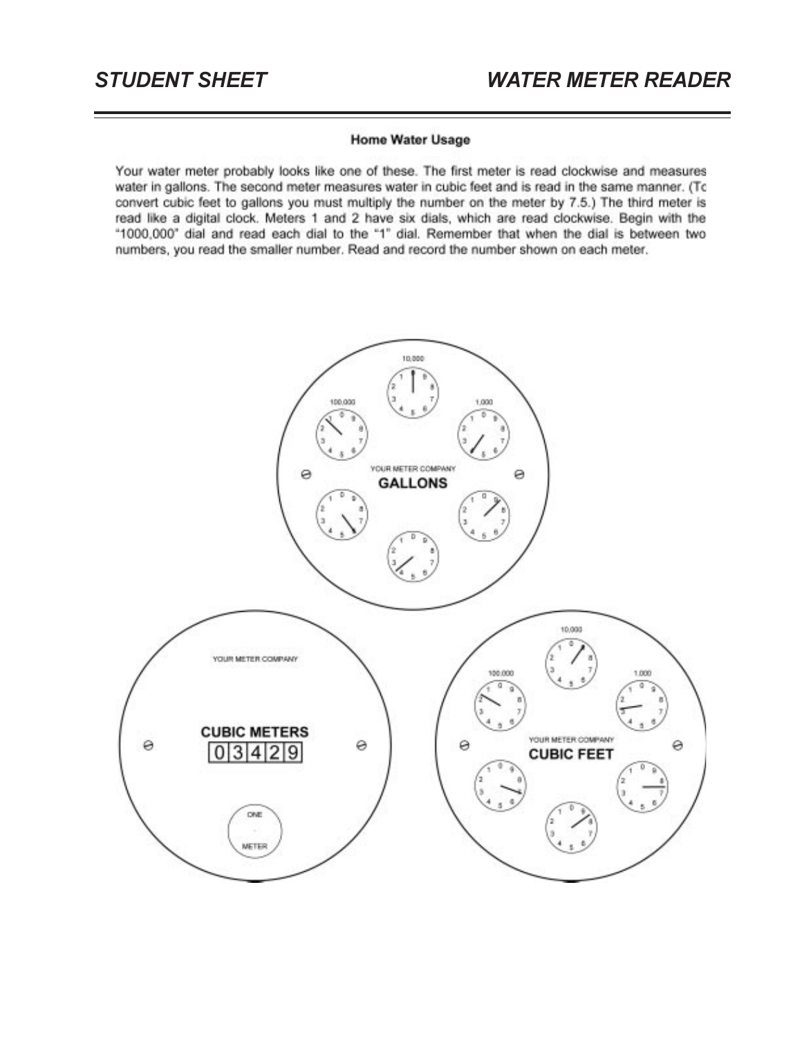#### **Home Water Usage**

Your water meter probably looks like one of these. The first meter is read clockwise and measures water in gallons. The second meter measures water in cubic feet and is read in the same manner. (To convert cubic feet to gallons you must multiply the number on the meter by 7.5.) The third meter is read like a digital clock. Meters 1 and 2 have six dials, which are read clockwise. Begin with the "1000,000" dial and read each dial to the "1" dial. Remember that when the dial is between two numbers, you read the smaller number. Read and record the number shown on each meter.

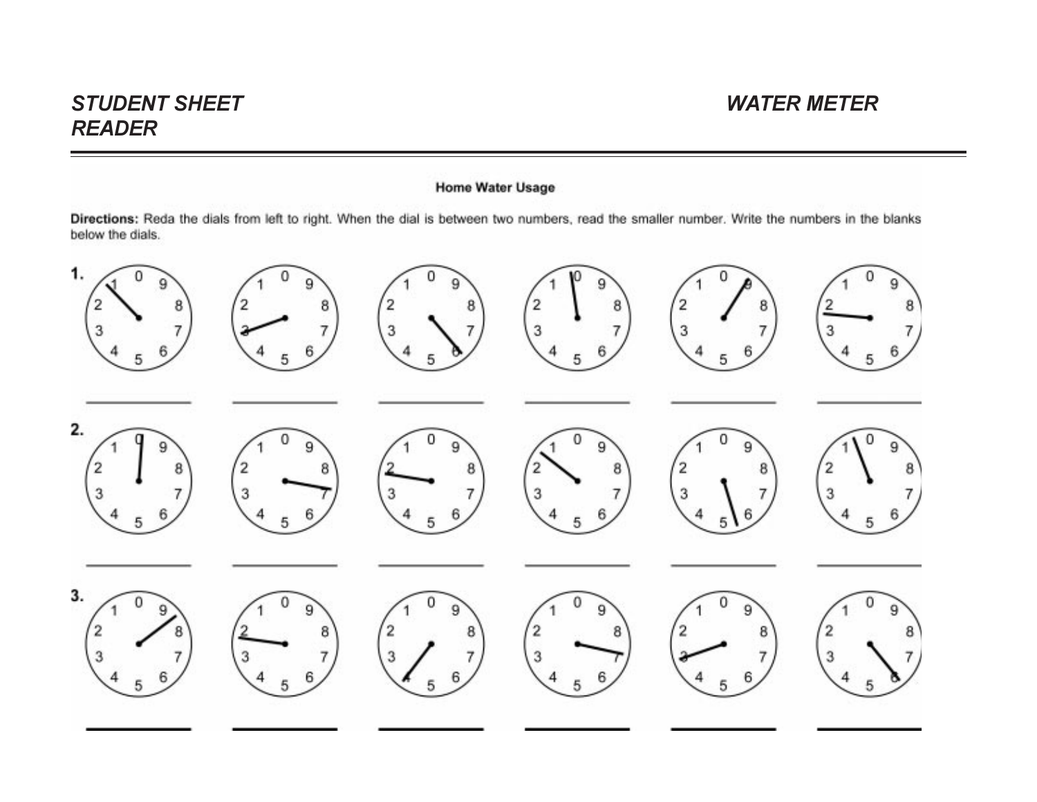# *STUDENT SHEET WATER METERREADER*

## **Home Water Usage**

Directions: Reda the dials from left to right. When the dial is between two numbers, read the smaller number. Write the numbers in the blanks below the dials.

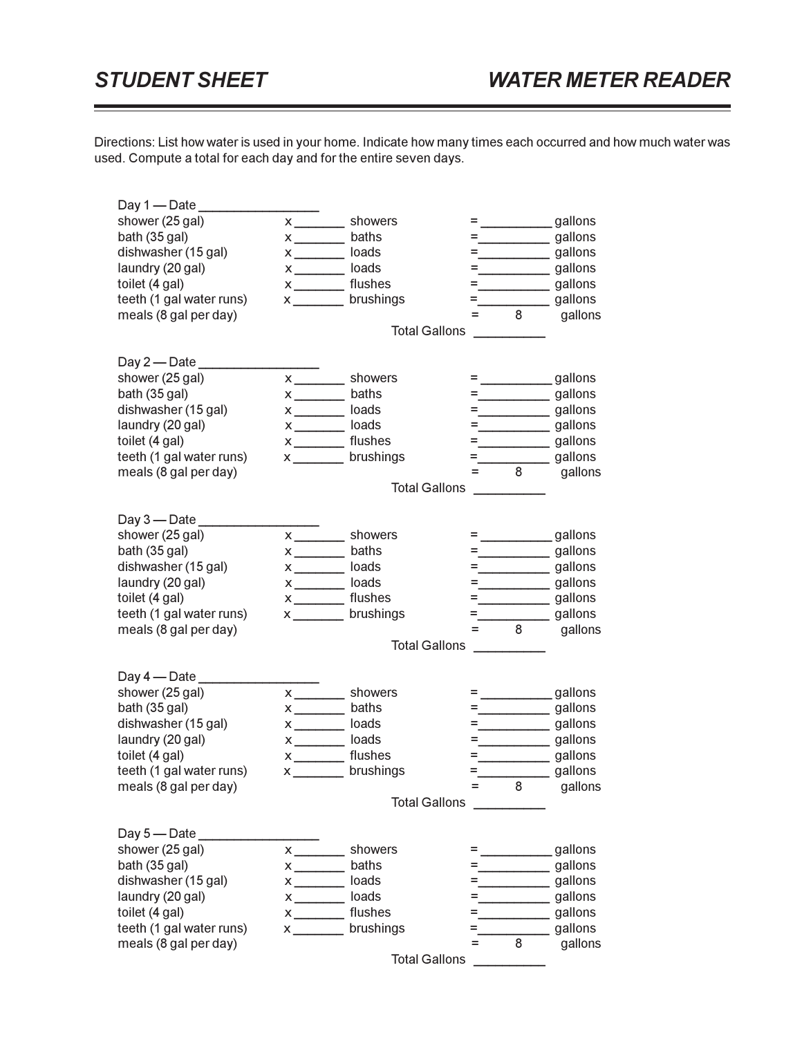Directions: List how water is used in your home. Indicate how many times each occurred and how much water was used. Compute a total for each day and for the entire seven days.